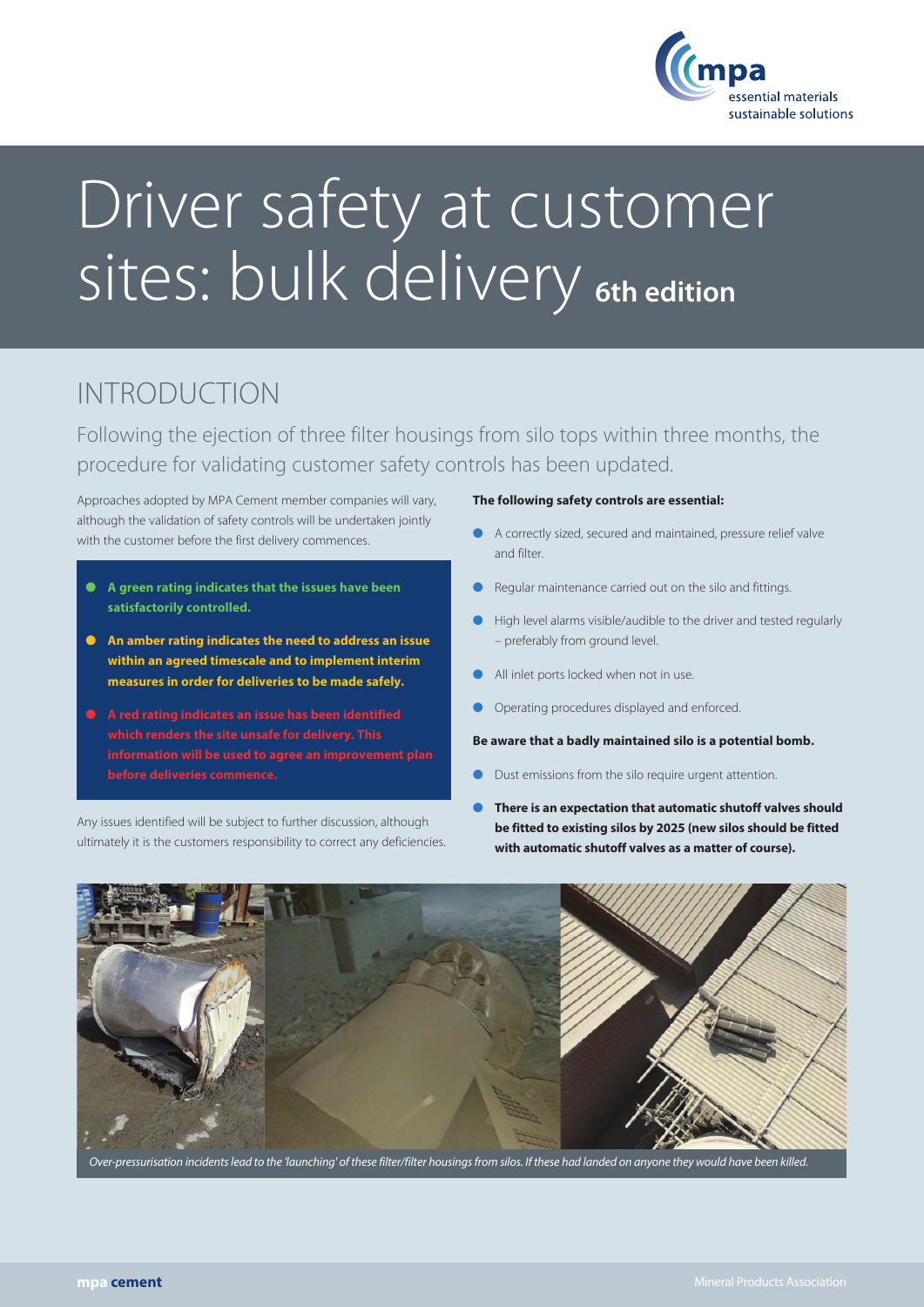

# Driver safety at customer sites: bulk delivery **6th edition**

## INTRODUCTION

Following the ejection of three filter housings from silo tops within three months, the procedure for validating customer safety controls has been updated.

Approaches adopted by MPA Cement member companies will vary, although the validation of safety controls will be undertaken jointly with the customer before the first delivery commences.

- � **A green rating indicates that the issues have been satisfactorily controlled.**
- � **An amber rating indicates the need to address an issue within an agreed timescale and to implement interim measures in order for deliveries to be made safely.**
- � **A red rating indicates an issue has been identified which renders the site unsafe for delivery. This information will be used to agree an improvement plan before deliveries commence.**

Any issues identified will be subject to further discussion, although ultimately it is the customers responsibility to correct any deficiencies.

## **The following safety controls are essential:**

- � A correctly sized, secured and maintained, pressure relief valve and filter.
- Regular maintenance carried out on the silo and fittings.
- � High level alarms visible/audible to the driver and tested regularly – preferably from ground level.
- All inlet ports locked when not in use.
- � Operating procedures displayed and enforced.

**Be aware that a badly maintained silo is a potential bomb.**

- Dust emissions from the silo require urgent attention.
- � **There is an expectation that automatic shutoff valves should be fitted to existing silos by 2025 (new silos should be fitted with automatic shutoff valves as a matter of course).**



er-pressurisation incidents lead to the 'launching' of these filter/filter housings from silos. If these had landed on anyone they would have been killed.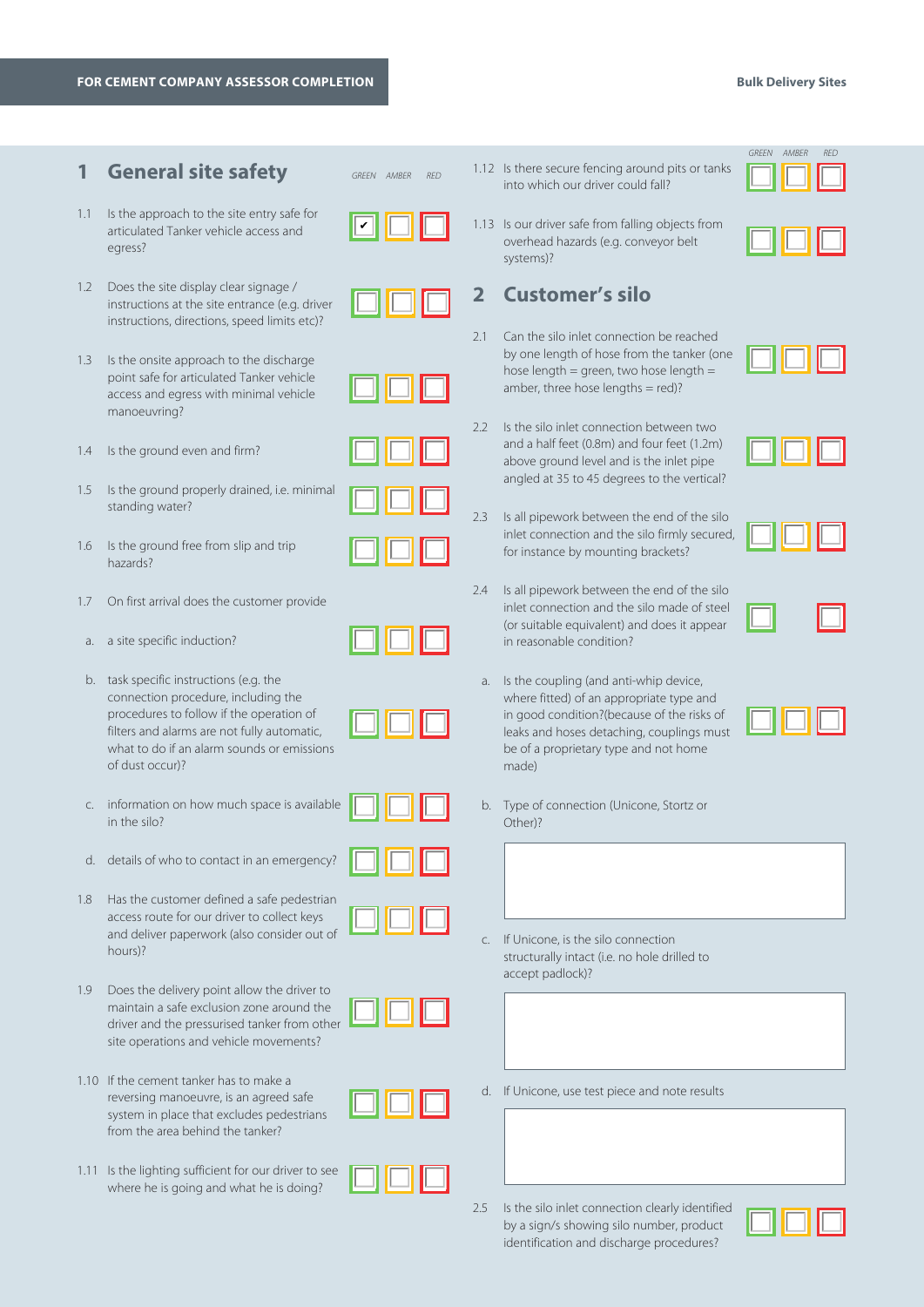## **FOR CEMENT COMPANY ASSESSOR COMPLETION Bulk Delivery Sites**

## **1 General site safety**

1.2 Does the site display clear signage /

egress?

articulated Tanker vehicle access and

instructions at the site entrance (e.g. driver instructions, directions, speed limits etc)?

*GREEN AMBER RED*







1.4 Is the ground even and firm?

manoeuvring?

- 1.5 Is the ground properly drained, i.e. minimal standing water?
- 1.6 Is the ground free from slip and trip hazards?
- 1.7 On first arrival does the customer provide
- a. a site specific induction?
- b. task specific instructions (e.g. the connection procedure, including the procedures to follow if the operation of filters and alarms are not fully automatic, what to do if an alarm sounds or emissions of dust occur)?
- c. information on how much space is available in the silo?
- d. details of who to contact in an emergency?
- 1.8 Has the customer defined a safe pedestrian access route for our driver to collect keys and deliver paperwork (also consider out of hours)?
- 1.9 Does the delivery point allow the driver to maintain a safe exclusion zone around the driver and the pressurised tanker from other site operations and vehicle movements?
- 1.10 If the cement tanker has to make a reversing manoeuvre, is an agreed safe system in place that excludes pedestrians from the area behind the tanker?
- 1.11 Is the lighting sufficient for our driver to see where he is going and what he is doing?
- 1.12 Is there secure fencing around pits or tanks into which our driver could fall?
- 1.13 Is our driver safe from falling objects from overhead hazards (e.g. conveyor belt systems)?

## **2 Customer's silo**

- 2.1 Can the silo inlet connection be reached by one length of hose from the tanker (one hose length = green, two hose length = amber, three hose lengths  $=$  red)?
- 2.2 Is the silo inlet connection between two and a half feet (0.8m) and four feet (1.2m) above ground level and is the inlet pipe angled at 35 to 45 degrees to the vertical?
- 2.3 Is all pipework between the end of the silo inlet connection and the silo firmly secured, for instance by mounting brackets?
- 2.4 Is all pipework between the end of the silo inlet connection and the silo made of steel (or suitable equivalent) and does it appear in reasonable condition?
- a. Is the coupling (and anti-whip device, where fitted) of an appropriate type and in good condition?(because of the risks of leaks and hoses detaching, couplings must be of a proprietary type and not home made)
- b. Type of connection (Unicone, Stortz or Other)?
- c. If Unicone, is the silo connection structurally intact (i.e. no hole drilled to accept padlock)?
- d. If Unicone, use test piece and note results
- 2.5 Is the silo inlet connection clearly identified by a sign/s showing silo number, product identification and discharge procedures?